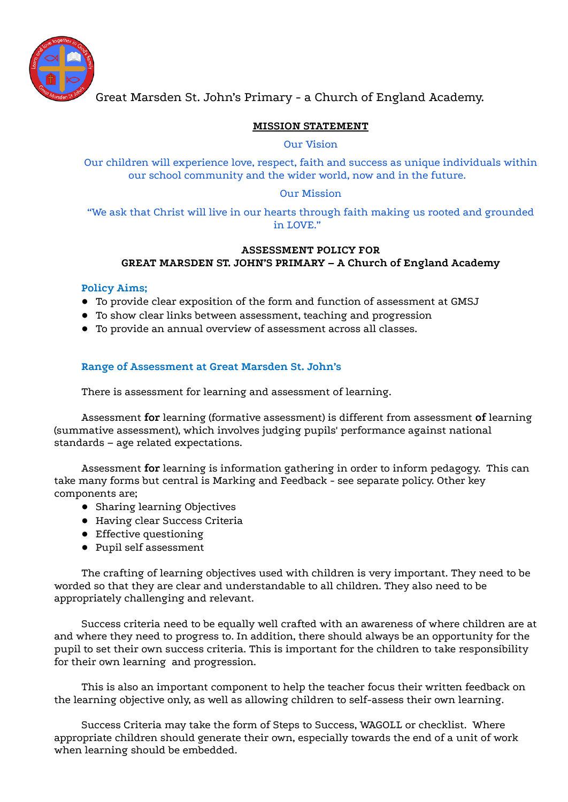

Great Marsden St. John's Primary - a Church of England Academy.

## **MISSION STATEMENT**

### Our Vision

Our children will experience love, respect, faith and success as unique individuals within our school community and the wider world, now and in the future.

### Our Mission

"We ask that Christ will live in our hearts through faith making us rooted and grounded in LOVE."

## **ASSESSMENT POLICY FOR GREAT MARSDEN ST. JOHN'S PRIMARY – A Church of England Academy**

### **Policy Aims;**

- To provide clear exposition of the form and function of assessment at GMSJ
- To show clear links between assessment, teaching and progression
- To provide an annual overview of assessment across all classes.

## **Range of Assessment at Great Marsden St. John's**

There is assessment for learning and assessment of learning.

Assessment **for** learning (formative assessment) is different from assessment **of** learning (summative assessment), which involves judging pupils' performance against national standards – age related expectations.

Assessment **for** learning is information gathering in order to inform pedagogy. This can take many forms but central is Marking and Feedback - see separate policy. Other key components are;

- Sharing learning Objectives
- Having clear Success Criteria
- Effective questioning
- Pupil self assessment

The crafting of learning objectives used with children is very important. They need to be worded so that they are clear and understandable to all children. They also need to be appropriately challenging and relevant.

Success criteria need to be equally well crafted with an awareness of where children are at and where they need to progress to. In addition, there should always be an opportunity for the pupil to set their own success criteria. This is important for the children to take responsibility for their own learning and progression.

This is also an important component to help the teacher focus their written feedback on the learning objective only, as well as allowing children to self-assess their own learning.

Success Criteria may take the form of Steps to Success, WAGOLL or checklist. Where appropriate children should generate their own, especially towards the end of a unit of work when learning should be embedded.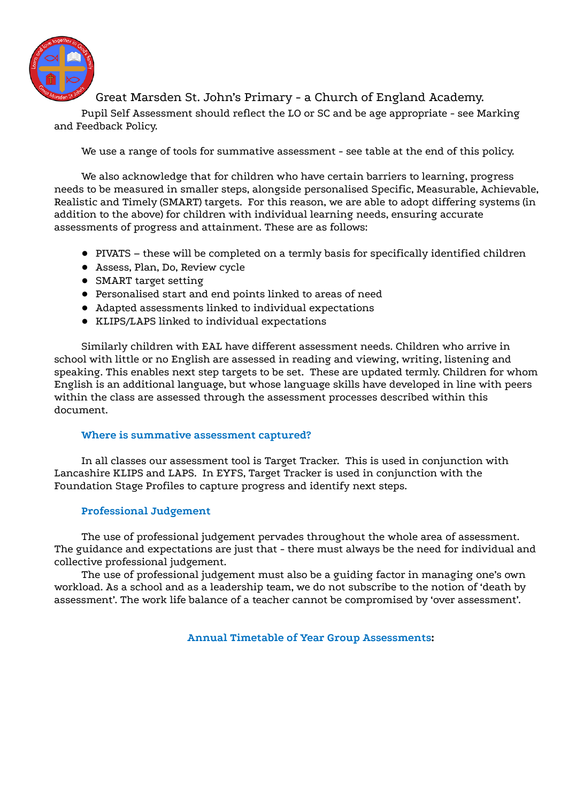

## Great Marsden St. John's Primary - a Church of England Academy.

Pupil Self Assessment should reflect the LO or SC and be age appropriate - see Marking and Feedback Policy.

We use a range of tools for summative assessment - see table at the end of this policy.

We also acknowledge that for children who have certain barriers to learning, progress needs to be measured in smaller steps, alongside personalised Specific, Measurable, Achievable, Realistic and Timely (SMART) targets. For this reason, we are able to adopt differing systems (in addition to the above) for children with individual learning needs, ensuring accurate assessments of progress and attainment. These are as follows:

- PIVATS these will be completed on a termly basis for specifically identified children
- Assess, Plan, Do, Review cycle
- SMART target setting
- Personalised start and end points linked to areas of need
- Adapted assessments linked to individual expectations
- KLIPS/LAPS linked to individual expectations

Similarly children with EAL have different assessment needs. Children who arrive in school with little or no English are assessed in reading and viewing, writing, listening and speaking. This enables next step targets to be set. These are updated termly. Children for whom English is an additional language, but whose language skills have developed in line with peers within the class are assessed through the assessment processes described within this document.

## **Where is summative assessment captured?**

In all classes our assessment tool is Target Tracker. This is used in conjunction with Lancashire KLIPS and LAPS. In EYFS, Target Tracker is used in conjunction with the Foundation Stage Profiles to capture progress and identify next steps.

## **Professional Judgement**

The use of professional judgement pervades throughout the whole area of assessment. The guidance and expectations are just that - there must always be the need for individual and collective professional judgement.

The use of professional judgement must also be a guiding factor in managing one's own workload. As a school and as a leadership team, we do not subscribe to the notion of 'death by assessment'. The work life balance of a teacher cannot be compromised by 'over assessment'.

**Annual Timetable of Year Group Assessments:**